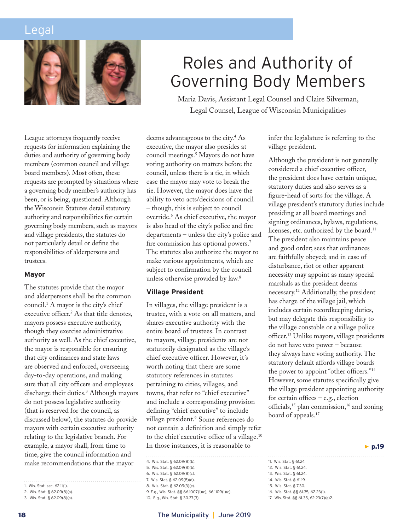# Legal





# Roles and Authority of Governing Body Members

Maria Davis, Assistant Legal Counsel and Claire Silverman, Legal Counsel, League of Wisconsin Municipalities

League attorneys frequently receive requests for information explaining the duties and authority of governing body members (common council and village board members). Most often, these requests are prompted by situations where a governing body member's authority has been, or is being, questioned. Although the Wisconsin Statutes detail statutory authority and responsibilities for certain governing body members, such as mayors and village presidents, the statutes do not particularly detail or define the responsibilities of alderpersons and trustees.

#### **Mayor**

The statutes provide that the mayor and alderpersons shall be the common council.1 A mayor is the city's chief executive officer.<sup>2</sup> As that title denotes, mayors possess executive authority, though they exercise administrative authority as well. As the chief executive, the mayor is responsible for ensuring that city ordinances and state laws are observed and enforced, overseeing day-to-day operations, and making sure that all city officers and employees discharge their duties.3 Although mayors do not possess legislative authority (that is reserved for the council, as discussed below), the statutes do provide mayors with certain executive authority relating to the legislative branch. For example, a mayor shall, from time to time, give the council information and make recommendations that the mayor

deems advantageous to the city.<sup>4</sup> As executive, the mayor also presides at council meetings.5 Mayors do not have voting authority on matters before the council, unless there is a tie, in which case the mayor may vote to break the tie. However, the mayor does have the ability to veto acts/decisions of council – though, this is subject to council override.6 As chief executive, the mayor is also head of the city's police and fire departments – unless the city's police and fire commission has optional powers.7 The statutes also authorize the mayor to make various appointments, which are subject to confirmation by the council unless otherwise provided by law.8

#### **Village President**

In villages, the village president is a trustee, with a vote on all matters, and shares executive authority with the entire board of trustees. In contrast to mayors, village presidents are not statutorily designated as the village's chief executive officer. However, it's worth noting that there are some statutory references in statutes pertaining to cities, villages, and towns, that refer to "chief executive" and include a corresponding provision defining "chief executive" to include village president.9 Some references do not contain a definition and simply refer to the chief executive office of a village.10 In those instances, it is reasonable to

6. Wis. Stat. § 62.09(8)(c).

8. Wis. Stat. § 62.09(3)(e).

10. E.g., Wis. Stat. § 30.37(3).

# infer the legislature is referring to the village president.

Although the president is not generally considered a chief executive officer, the president does have certain unique, statutory duties and also serves as a figure-head of sorts for the village. A village president's statutory duties include presiding at all board meetings and signing ordinances, bylaws, regulations, licenses, etc. authorized by the board.<sup>11</sup> The president also maintains peace and good order; sees that ordinances are faithfully obeyed; and in case of disturbance, riot or other apparent necessity may appoint as many special marshals as the president deems necessary.12 Additionally, the president has charge of the village jail, which includes certain recordkeeping duties, but may delegate this responsibility to the village constable or a village police officer.13 Unlike mayors, village presidents do not have veto power – because they always have voting authority. The statutory default affords village boards the power to appoint "other officers."<sup>14</sup> However, some statutes specifically give the village president appointing authority for certain offices – e.g., election officials,<sup>15</sup> plan commission,<sup>16</sup> and zoning board of appeals.<sup>17</sup>

 $\blacktriangleright$  p.19

12. Wis. Stat. § 61.24.

- 14. Wis. Stat. § 61.19.
- 

- 16. Wis. Stat. §§ 61.35, 62.23(1).
- 17. Wis. Stat. §§ 61.35, 62.23(7)(e)2.

<sup>1.</sup> Wis. Stat. sec. 62.11(1).

<sup>2.</sup> Wis. Stat. § 62.09(8)(a).

<sup>3.</sup> Wis. Stat. § 62.09(8)(a).

<sup>4.</sup> Wis. Stat. § 62.09(8)(b).

<sup>5.</sup> Wis. Stat. § 62.09(8)(b).

<sup>7.</sup> Wis. Stat. § 62.09(8)(d).

<sup>9.</sup> E.g., Wis. Stat. §§ 66.1007(1)(c), 66.1109(1)(c).

<sup>11.</sup> Wis. Stat. § 61.24

<sup>13.</sup> Wis. Stat. § 61.24.

<sup>15.</sup> Wis. Stat. § 7.30.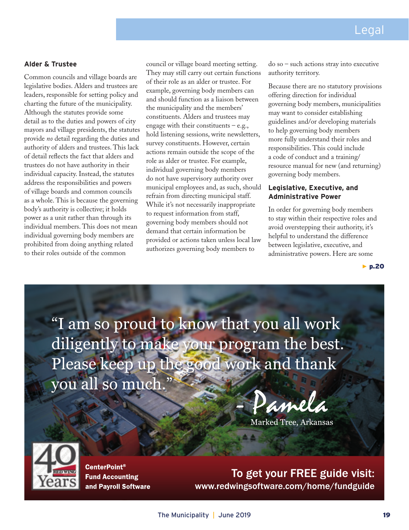## **Alder & Trustee**

Common councils and village boards are legislative bodies. Alders and trustees are leaders, responsible for setting policy and charting the future of the municipality. Although the statutes provide some detail as to the duties and powers of city mayors and village presidents, the statutes provide *no* detail regarding the duties and authority of alders and trustees. This lack of detail reflects the fact that alders and trustees do not have authority in their individual capacity. Instead, the statutes address the responsibilities and powers of village boards and common councils as a whole. This is because the governing body's authority is collective; it holds power as a unit rather than through its individual members. This does not mean individual governing body members are prohibited from doing anything related to their roles outside of the common

council or village board meeting setting. They may still carry out certain functions of their role as an alder or trustee. For example, governing body members can and should function as a liaison between the municipality and the members' constituents. Alders and trustees may engage with their constituents – e.g., hold listening sessions, write newsletters, survey constituents. However, certain actions remain outside the scope of the role as alder or trustee. For example, individual governing body members do not have supervisory authority over municipal employees and, as such, should refrain from directing municipal staff. While it's not necessarily inappropriate to request information from staff, governing body members should not demand that certain information be provided or actions taken unless local law authorizes governing body members to

do so – such actions stray into executive authority territory.

Because there are no statutory provisions offering direction for individual governing body members, municipalities may want to consider establishing guidelines and/or developing materials to help governing body members more fully understand their roles and responsibilities. This could include a code of conduct and a training/ resource manual for new (and returning) governing body members.

## **Legislative, Executive, and Administrative Power**

In order for governing body members to stay within their respective roles and avoid overstepping their authority, it's helpful to understand the difference between legislative, executive, and administrative powers. Here are some

▶ p.20

"I am so proud to know that you all work diligently to make your program the best. Please keep up the good work and thank you all so much."

- Pamela

Marked Tree, Arkansas



CenterPoint® Fund Accounting and Payroll Software

To get your FREE guide visit: www.redwingsoftware.com/home/fundguide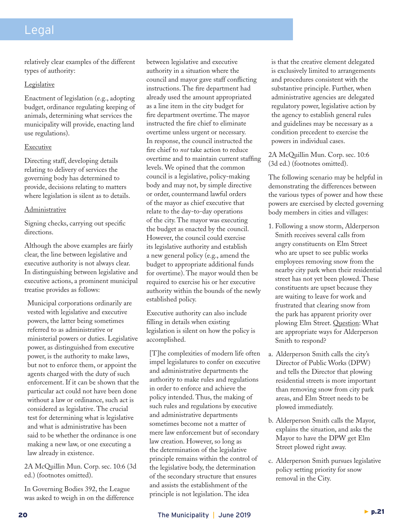# Legal

relatively clear examples of the different types of authority:

# **Legislative**

Enactment of legislation (e.g., adopting budget, ordinance regulating keeping of animals, determining what services the municipality will provide, enacting land use regulations).

# Executive

Directing staff, developing details relating to delivery of services the governing body has determined to provide, decisions relating to matters where legislation is silent as to details.

# Administrative

Signing checks, carrying out specific directions.

Although the above examples are fairly clear, the line between legislative and executive authority is not always clear. In distinguishing between legislative and executive actions, a prominent municipal treatise provides as follows:

Municipal corporations ordinarily are vested with legislative and executive powers, the latter being sometimes referred to as administrative or ministerial powers or duties. Legislative power, as distinguished from executive power, is the authority to make laws, but not to enforce them, or appoint the agents charged with the duty of such enforcement. If it can be shown that the particular act could not have been done without a law or ordinance, such act is considered as legislative. The crucial test for determining what is legislative and what is administrative has been said to be whether the ordinance is one making a new law, or one executing a law already in existence.

2A McQuillin Mun. Corp. sec. 10:6 (3d ed.) (footnotes omitted).

In Governing Bodies 392, the League was asked to weigh in on the difference between legislative and executive authority in a situation where the council and mayor gave staff conflicting instructions. The fire department had already used the amount appropriated as a line item in the city budget for fire department overtime. The mayor instructed the fire chief to eliminate overtime unless urgent or necessary. In response, the council instructed the fire chief to *not* take action to reduce overtime and to maintain current staffing levels. We opined that the common council is a legislative, policy-making body and may not, by simple directive or order, countermand lawful orders of the mayor as chief executive that relate to the day-to-day operations of the city. The mayor was executing the budget as enacted by the council. However, the council could exercise its legislative authority and establish a new general policy (e.g., amend the budget to appropriate additional funds for overtime). The mayor would then be required to exercise his or her executive authority within the bounds of the newly established policy.

Executive authority can also include filling in details when existing legislation is silent on how the policy is accomplished.

[T]he complexities of modern life often impel legislatures to confer on executive and administrative departments the authority to make rules and regulations in order to enforce and achieve the policy intended. Thus, the making of such rules and regulations by executive and administrative departments sometimes become not a matter of mere law enforcement but of secondary law creation. However, so long as the determination of the legislative principle remains within the control of the legislative body, the determination of the secondary structure that ensures and assists the establishment of the principle is not legislation. The idea

is that the creative element delegated is exclusively limited to arrangements and procedures consistent with the substantive principle. Further, when administrative agencies are delegated regulatory power, legislative action by the agency to establish general rules and guidelines may be necessary as a condition precedent to exercise the powers in individual cases.

2A McQuillin Mun. Corp. sec. 10:6 (3d ed.) (footnotes omitted).

The following scenario may be helpful in demonstrating the differences between the various types of power and how these powers are exercised by elected governing body members in cities and villages:

- 1. Following a snow storm, Alderperson Smith receives several calls from angry constituents on Elm Street who are upset to see public works employees removing snow from the nearby city park when their residential street has not yet been plowed. These constituents are upset because they are waiting to leave for work and frustrated that clearing snow from the park has apparent priority over plowing Elm Street. Question: What are appropriate ways for Alderperson Smith to respond?
- a. Alderperson Smith calls the city's Director of Public Works (DPW) and tells the Director that plowing residential streets is more important than removing snow from city park areas, and Elm Street needs to be plowed immediately.
- b. Alderperson Smith calls the Mayor, explains the situation, and asks the Mayor to have the DPW get Elm Street plowed right away.
- c. Alderperson Smith pursues legislative policy setting priority for snow removal in the City.